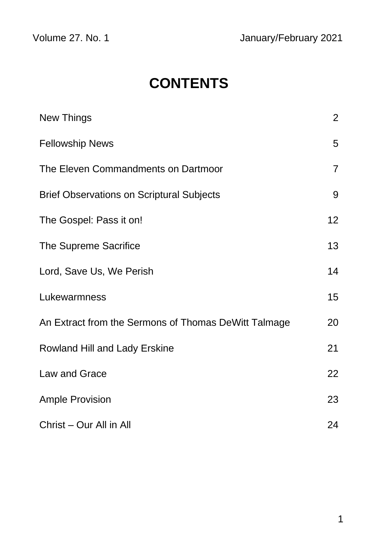# **CONTENTS**

| New Things                                           | $\overline{2}$ |
|------------------------------------------------------|----------------|
| <b>Fellowship News</b>                               | 5              |
| The Eleven Commandments on Dartmoor                  | $\overline{7}$ |
| <b>Brief Observations on Scriptural Subjects</b>     | 9              |
| The Gospel: Pass it on!                              | 12             |
| The Supreme Sacrifice                                | 13             |
| Lord, Save Us, We Perish                             | 14             |
| Lukewarmness                                         | 15             |
| An Extract from the Sermons of Thomas DeWitt Talmage | 20             |
| Rowland Hill and Lady Erskine                        | 21             |
| Law and Grace                                        | 22             |
| <b>Ample Provision</b>                               | 23             |
| Christ - Our All in All                              | 24             |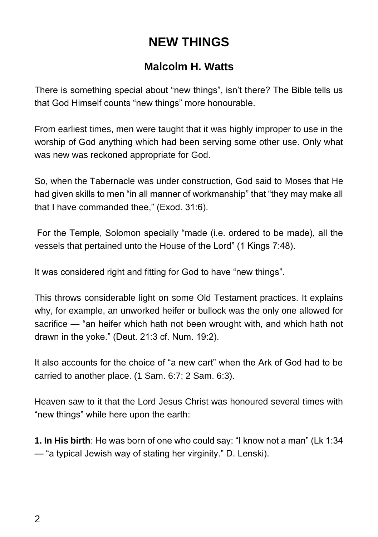### **NEW THINGS**

#### **Malcolm H. Watts**

There is something special about "new things", isn't there? The Bible tells us that God Himself counts "new things" more honourable.

From earliest times, men were taught that it was highly improper to use in the worship of God anything which had been serving some other use. Only what was new was reckoned appropriate for God.

So, when the Tabernacle was under construction, God said to Moses that He had given skills to men "in all manner of workmanship" that "they may make all that I have commanded thee," (Exod. 31:6).

For the Temple, Solomon specially "made (i.e. ordered to be made), all the vessels that pertained unto the House of the Lord" (1 Kings 7:48).

It was considered right and fitting for God to have "new things".

This throws considerable light on some Old Testament practices. It explains why, for example, an unworked heifer or bullock was the only one allowed for sacrifice — "an heifer which hath not been wrought with, and which hath not drawn in the yoke." (Deut. 21:3 cf. Num. 19:2).

It also accounts for the choice of "a new cart" when the Ark of God had to be carried to another place. (1 Sam. 6:7; 2 Sam. 6:3).

Heaven saw to it that the Lord Jesus Christ was honoured several times with "new things" while here upon the earth:

**1. In His birth**: He was born of one who could say: "I know not a man" (Lk 1:34 — "a typical Jewish way of stating her virginity." D. Lenski).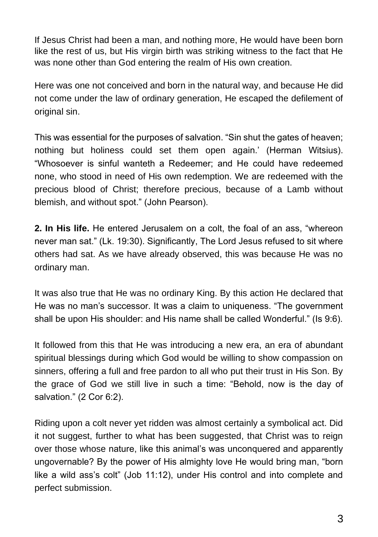If Jesus Christ had been a man, and nothing more, He would have been born like the rest of us, but His virgin birth was striking witness to the fact that He was none other than God entering the realm of His own creation.

Here was one not conceived and born in the natural way, and because He did not come under the law of ordinary generation, He escaped the defilement of original sin.

This was essential for the purposes of salvation. "Sin shut the gates of heaven; nothing but holiness could set them open again.' (Herman Witsius). "Whosoever is sinful wanteth a Redeemer; and He could have redeemed none, who stood in need of His own redemption. We are redeemed with the precious blood of Christ; therefore precious, because of a Lamb without blemish, and without spot." (John Pearson).

**2. In His life.** He entered Jerusalem on a colt, the foal of an ass, "whereon never man sat." (Lk. 19:30). Significantly, The Lord Jesus refused to sit where others had sat. As we have already observed, this was because He was no ordinary man.

It was also true that He was no ordinary King. By this action He declared that He was no man's successor. It was a claim to uniqueness. "The government shall be upon His shoulder: and His name shall be called Wonderful." (Is 9:6).

It followed from this that He was introducing a new era, an era of abundant spiritual blessings during which God would be willing to show compassion on sinners, offering a full and free pardon to all who put their trust in His Son. By the grace of God we still live in such a time: "Behold, now is the day of salvation." (2 Cor 6:2).

Riding upon a colt never yet ridden was almost certainly a symbolical act. Did it not suggest, further to what has been suggested, that Christ was to reign over those whose nature, like this animal's was unconquered and apparently ungovernable? By the power of His almighty love He would bring man, "born like a wild ass's colt" (Job 11:12), under His control and into complete and perfect submission.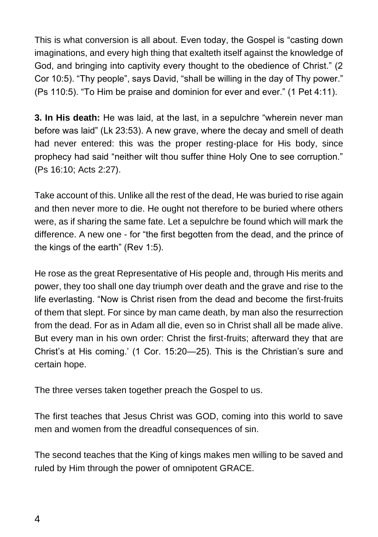This is what conversion is all about. Even today, the Gospel is "casting down imaginations, and every high thing that exalteth itself against the knowledge of God, and bringing into captivity every thought to the obedience of Christ." (2 Cor 10:5). "Thy people", says David, "shall be willing in the day of Thy power." (Ps 110:5). "To Him be praise and dominion for ever and ever." (1 Pet 4:11).

**3. In His death:** He was laid, at the last, in a sepulchre "wherein never man before was laid" (Lk 23:53). A new grave, where the decay and smell of death had never entered: this was the proper resting-place for His body, since prophecy had said "neither wilt thou suffer thine Holy One to see corruption." (Ps 16:10; Acts 2:27).

Take account of this. Unlike all the rest of the dead, He was buried to rise again and then never more to die. He ought not therefore to be buried where others were, as if sharing the same fate. Let a sepulchre be found which will mark the difference. A new one - for "the first begotten from the dead, and the prince of the kings of the earth" (Rev 1:5).

He rose as the great Representative of His people and, through His merits and power, they too shall one day triumph over death and the grave and rise to the life everlasting. "Now is Christ risen from the dead and become the first-fruits of them that slept. For since by man came death, by man also the resurrection from the dead. For as in Adam all die, even so in Christ shall all be made alive. But every man in his own order: Christ the first-fruits; afterward they that are Christ's at His coming.' (1 Cor. 15:20—25). This is the Christian's sure and certain hope.

The three verses taken together preach the Gospel to us.

The first teaches that Jesus Christ was GOD, coming into this world to save men and women from the dreadful consequences of sin.

The second teaches that the King of kings makes men willing to be saved and ruled by Him through the power of omnipotent GRACE.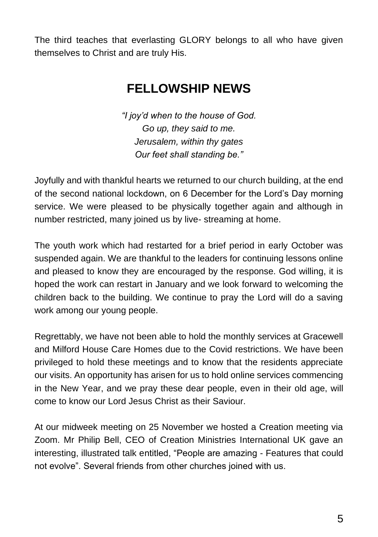The third teaches that everlasting GLORY belongs to all who have given themselves to Christ and are truly His.

### **FELLOWSHIP NEWS**

*"I joy'd when to the house of God. Go up, they said to me. Jerusalem, within thy gates Our feet shall standing be."*

Joyfully and with thankful hearts we returned to our church building, at the end of the second national lockdown, on 6 December for the Lord's Day morning service. We were pleased to be physically together again and although in number restricted, many joined us by live- streaming at home.

The youth work which had restarted for a brief period in early October was suspended again. We are thankful to the leaders for continuing lessons online and pleased to know they are encouraged by the response. God willing, it is hoped the work can restart in January and we look forward to welcoming the children back to the building. We continue to pray the Lord will do a saving work among our young people.

Regrettably, we have not been able to hold the monthly services at Gracewell and Milford House Care Homes due to the Covid restrictions. We have been privileged to hold these meetings and to know that the residents appreciate our visits. An opportunity has arisen for us to hold online services commencing in the New Year, and we pray these dear people, even in their old age, will come to know our Lord Jesus Christ as their Saviour.

At our midweek meeting on 25 November we hosted a Creation meeting via Zoom. Mr Philip Bell, CEO of Creation Ministries International UK gave an interesting, illustrated talk entitled, "People are amazing - Features that could not evolve". Several friends from other churches joined with us.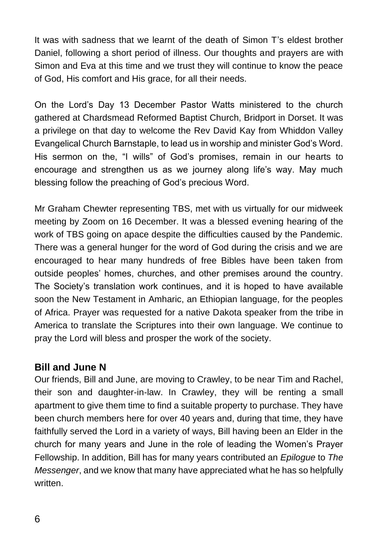It was with sadness that we learnt of the death of Simon T's eldest brother Daniel, following a short period of illness. Our thoughts and prayers are with Simon and Eva at this time and we trust they will continue to know the peace of God, His comfort and His grace, for all their needs.

On the Lord's Day 13 December Pastor Watts ministered to the church gathered at Chardsmead Reformed Baptist Church, Bridport in Dorset. It was a privilege on that day to welcome the Rev David Kay from Whiddon Valley Evangelical Church Barnstaple, to lead us in worship and minister God's Word. His sermon on the, "I wills" of God's promises, remain in our hearts to encourage and strengthen us as we journey along life's way. May much blessing follow the preaching of God's precious Word.

Mr Graham Chewter representing TBS, met with us virtually for our midweek meeting by Zoom on 16 December. It was a blessed evening hearing of the work of TBS going on apace despite the difficulties caused by the Pandemic. There was a general hunger for the word of God during the crisis and we are encouraged to hear many hundreds of free Bibles have been taken from outside peoples' homes, churches, and other premises around the country. The Society's translation work continues, and it is hoped to have available soon the New Testament in Amharic, an Ethiopian language, for the peoples of Africa. Prayer was requested for a native Dakota speaker from the tribe in America to translate the Scriptures into their own language. We continue to pray the Lord will bless and prosper the work of the society.

#### **Bill and June N**

Our friends, Bill and June, are moving to Crawley, to be near Tim and Rachel, their son and daughter-in-law. In Crawley, they will be renting a small apartment to give them time to find a suitable property to purchase. They have been church members here for over 40 years and, during that time, they have faithfully served the Lord in a variety of ways, Bill having been an Elder in the church for many years and June in the role of leading the Women's Prayer Fellowship. In addition, Bill has for many years contributed an *Epilogue* to *The Messenger*, and we know that many have appreciated what he has so helpfully written.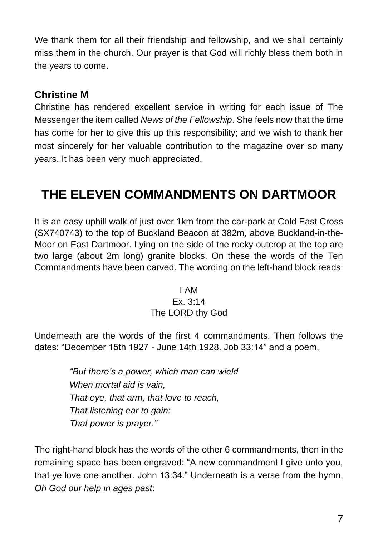We thank them for all their friendship and fellowship, and we shall certainly miss them in the church. Our prayer is that God will richly bless them both in the years to come.

#### **Christine M**

Christine has rendered excellent service in writing for each issue of The Messenger the item called *News of the Fellowship*. She feels now that the time has come for her to give this up this responsibility; and we wish to thank her most sincerely for her valuable contribution to the magazine over so many years. It has been very much appreciated.

### **THE ELEVEN COMMANDMENTS ON DARTMOOR**

It is an easy uphill walk of just over 1km from the car-park at Cold East Cross (SX740743) to the top of Buckland Beacon at 382m, above Buckland-in-the-Moor on East Dartmoor. Lying on the side of the rocky outcrop at the top are two large (about 2m long) granite blocks. On these the words of the Ten Commandments have been carved. The wording on the left-hand block reads:

#### I AM Ex. 3:14 The LORD thy God

Underneath are the words of the first 4 commandments. Then follows the dates: "December 15th 1927 - June 14th 1928. Job 33:14" and a poem,

> *"But there's a power, which man can wield When mortal aid is vain, That eye, that arm, that love to reach, That listening ear to gain: That power is prayer."*

The right-hand block has the words of the other 6 commandments, then in the remaining space has been engraved: "A new commandment I give unto you, that ye love one another. John 13:34." Underneath is a verse from the hymn, *Oh God our help in ages past*: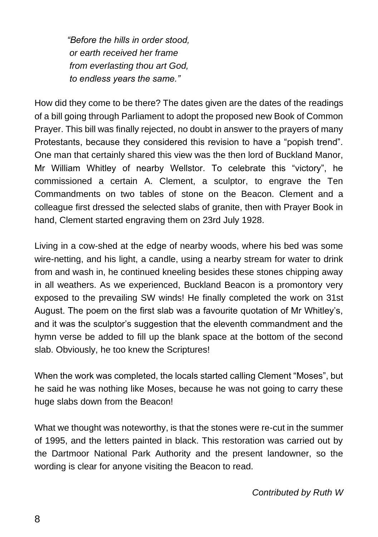*"Before the hills in order stood, or earth received her frame from everlasting thou art God, to endless years the same."*

How did they come to be there? The dates given are the dates of the readings of a bill going through Parliament to adopt the proposed new Book of Common Prayer. This bill was finally rejected, no doubt in answer to the prayers of many Protestants, because they considered this revision to have a "popish trend". One man that certainly shared this view was the then lord of Buckland Manor, Mr William Whitley of nearby Wellstor. To celebrate this "victory", he commissioned a certain A. Clement, a sculptor, to engrave the Ten Commandments on two tables of stone on the Beacon. Clement and a colleague first dressed the selected slabs of granite, then with Prayer Book in hand, Clement started engraving them on 23rd July 1928.

Living in a cow-shed at the edge of nearby woods, where his bed was some wire-netting, and his light, a candle, using a nearby stream for water to drink from and wash in, he continued kneeling besides these stones chipping away in all weathers. As we experienced, Buckland Beacon is a promontory very exposed to the prevailing SW winds! He finally completed the work on 31st August. The poem on the first slab was a favourite quotation of Mr Whitley's, and it was the sculptor's suggestion that the eleventh commandment and the hymn verse be added to fill up the blank space at the bottom of the second slab. Obviously, he too knew the Scriptures!

When the work was completed, the locals started calling Clement "Moses", but he said he was nothing like Moses, because he was not going to carry these huge slabs down from the Beacon!

What we thought was noteworthy, is that the stones were re-cut in the summer of 1995, and the letters painted in black. This restoration was carried out by the Dartmoor National Park Authority and the present landowner, so the wording is clear for anyone visiting the Beacon to read.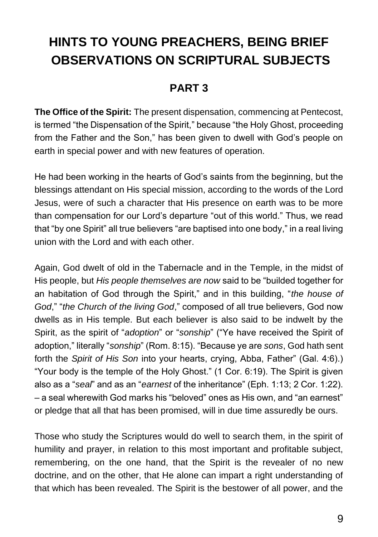# **HINTS TO YOUNG PREACHERS, BEING BRIEF OBSERVATIONS ON SCRIPTURAL SUBJECTS**

#### **PART 3**

**The Office of the Spirit:** The present dispensation, commencing at Pentecost, is termed "the Dispensation of the Spirit," because "the Holy Ghost, proceeding from the Father and the Son," has been given to dwell with God's people on earth in special power and with new features of operation.

He had been working in the hearts of God's saints from the beginning, but the blessings attendant on His special mission, according to the words of the Lord Jesus, were of such a character that His presence on earth was to be more than compensation for our Lord's departure "out of this world." Thus, we read that "by one Spirit" all true believers "are baptised into one body," in a real living union with the Lord and with each other.

Again, God dwelt of old in the Tabernacle and in the Temple, in the midst of His people, but *His people themselves are now* said to be "builded together for an habitation of God through the Spirit," and in this building, "*the house of God*," "*the Church of the living God*," composed of all true believers, God now dwells as in His temple. But each believer is also said to be indwelt by the Spirit, as the spirit of "*adoption*" or "*sonship*" ("Ye have received the Spirit of adoption," literally "*sonship*" (Rom. 8:15). "Because ye are *sons*, God hath sent forth the *Spirit of His Son* into your hearts, crying, Abba, Father" (Gal. 4:6).) "Your body is the temple of the Holy Ghost." (1 Cor. 6:19). The Spirit is given also as a "*seal*" and as an "*earnest* of the inheritance" (Eph. 1:13; 2 Cor. 1:22). – a seal wherewith God marks his "beloved" ones as His own, and "an earnest" or pledge that all that has been promised, will in due time assuredly be ours.

Those who study the Scriptures would do well to search them, in the spirit of humility and prayer, in relation to this most important and profitable subject, remembering, on the one hand, that the Spirit is the revealer of no new doctrine, and on the other, that He alone can impart a right understanding of that which has been revealed. The Spirit is the bestower of all power, and the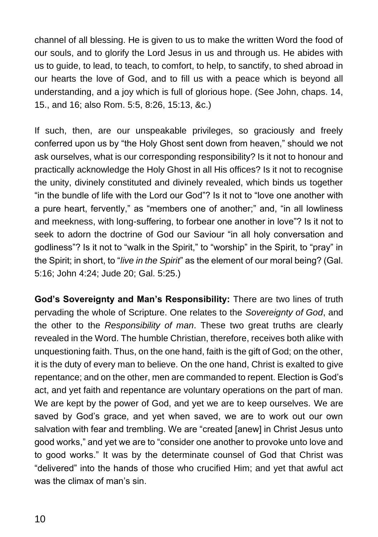channel of all blessing. He is given to us to make the written Word the food of our souls, and to glorify the Lord Jesus in us and through us. He abides with us to guide, to lead, to teach, to comfort, to help, to sanctify, to shed abroad in our hearts the love of God, and to fill us with a peace which is beyond all understanding, and a joy which is full of glorious hope. (See John, chaps. 14, 15., and 16; also Rom. 5:5, 8:26, 15:13, &c.)

If such, then, are our unspeakable privileges, so graciously and freely conferred upon us by "the Holy Ghost sent down from heaven," should we not ask ourselves, what is our corresponding responsibility? Is it not to honour and practically acknowledge the Holy Ghost in all His offices? Is it not to recognise the unity, divinely constituted and divinely revealed, which binds us together "in the bundle of life with the Lord our God"? Is it not to "love one another with a pure heart, fervently," as "members one of another;" and, "in all lowliness and meekness, with long-suffering, to forbear one another in love"? Is it not to seek to adorn the doctrine of God our Saviour "in all holy conversation and godliness"? Is it not to "walk in the Spirit," to "worship" in the Spirit, to "pray" in the Spirit; in short, to "*live in the Spirit*" as the element of our moral being? (Gal. 5:16; John 4:24; Jude 20; Gal. 5:25.)

**God's Sovereignty and Man's Responsibility:** There are two lines of truth pervading the whole of Scripture. One relates to the *Sovereignty of God*, and the other to the *Responsibility of man*. These two great truths are clearly revealed in the Word. The humble Christian, therefore, receives both alike with unquestioning faith. Thus, on the one hand, faith is the gift of God; on the other, it is the duty of every man to believe. On the one hand, Christ is exalted to give repentance; and on the other, men are commanded to repent. Election is God's act, and yet faith and repentance are voluntary operations on the part of man. We are kept by the power of God, and yet we are to keep ourselves. We are saved by God's grace, and yet when saved, we are to work out our own salvation with fear and trembling. We are "created [anew] in Christ Jesus unto good works," and yet we are to "consider one another to provoke unto love and to good works." It was by the determinate counsel of God that Christ was "delivered" into the hands of those who crucified Him; and yet that awful act was the climax of man's sin.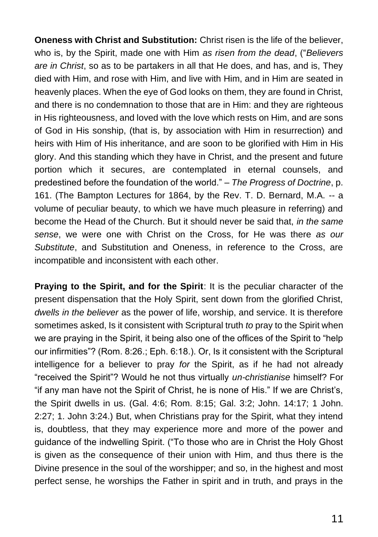**Oneness with Christ and Substitution:** Christ risen is the life of the believer, who is, by the Spirit, made one with Him *as risen from the dead*, ("*Believers are in Christ*, so as to be partakers in all that He does, and has, and is, They died with Him, and rose with Him, and live with Him, and in Him are seated in heavenly places. When the eye of God looks on them, they are found in Christ, and there is no condemnation to those that are in Him: and they are righteous in His righteousness, and loved with the love which rests on Him, and are sons of God in His sonship, (that is, by association with Him in resurrection) and heirs with Him of His inheritance, and are soon to be glorified with Him in His glory. And this standing which they have in Christ, and the present and future portion which it secures, are contemplated in eternal counsels, and predestined before the foundation of the world." – *The Progress of Doctrine*, p. 161. (The Bampton Lectures for 1864, by the Rev. T. D. Bernard, M.A. -- a volume of peculiar beauty, to which we have much pleasure in referring) and become the Head of the Church. But it should never be said that, *in the same sense*, we were one with Christ on the Cross, for He was there *as our Substitute*, and Substitution and Oneness, in reference to the Cross, are incompatible and inconsistent with each other.

**Praying to the Spirit, and for the Spirit**: It is the peculiar character of the present dispensation that the Holy Spirit, sent down from the glorified Christ, *dwells in the believer* as the power of life, worship, and service. It is therefore sometimes asked, Is it consistent with Scriptural truth *to* pray to the Spirit when we are praying in the Spirit, it being also one of the offices of the Spirit to "help our infirmities"? (Rom. 8:26.; Eph. 6:18.). Or, Is it consistent with the Scriptural intelligence for a believer to pray *for* the Spirit, as if he had not already "received the Spirit"? Would he not thus virtually *un-christianise* himself? For "if any man have not the Spirit of Christ, he is none of His." If we are Christ's, the Spirit dwells in us. (Gal. 4:6; Rom. 8:15; Gal. 3:2; John. 14:17; 1 John. 2:27; 1. John 3:24.) But, when Christians pray for the Spirit, what they intend is, doubtless, that they may experience more and more of the power and guidance of the indwelling Spirit. ("To those who are in Christ the Holy Ghost is given as the consequence of their union with Him, and thus there is the Divine presence in the soul of the worshipper; and so, in the highest and most perfect sense, he worships the Father in spirit and in truth, and prays in the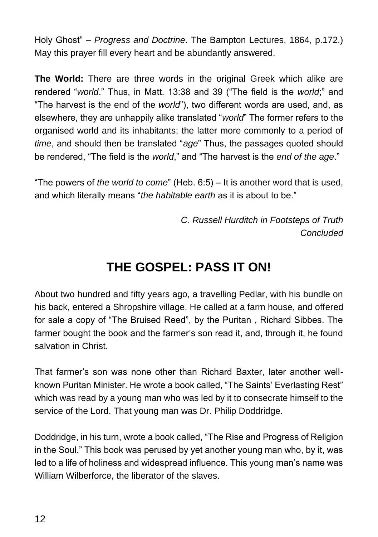Holy Ghost" – *Progress and Doctrine*. The Bampton Lectures, 1864, p.172.) May this prayer fill every heart and be abundantly answered.

**The World:** There are three words in the original Greek which alike are rendered "*world*." Thus, in Matt. 13:38 and 39 ("The field is the *world*;" and "The harvest is the end of the *world*"), two different words are used, and, as elsewhere, they are unhappily alike translated "*world*" The former refers to the organised world and its inhabitants; the latter more commonly to a period of *time*, and should then be translated "*age*" Thus, the passages quoted should be rendered, "The field is the *world*," and "The harvest is the *end of the age*."

"The powers of *the world to come*" (Heb. 6:5) – It is another word that is used, and which literally means "*the habitable earth* as it is about to be."

> *C. Russell Hurditch in Footsteps of Truth Concluded*

### **THE GOSPEL: PASS IT ON!**

About two hundred and fifty years ago, a travelling Pedlar, with his bundle on his back, entered a Shropshire village. He called at a farm house, and offered for sale a copy of "The Bruised Reed", by the Puritan , Richard Sibbes. The farmer bought the book and the farmer's son read it, and, through it, he found salvation in Christ.

That farmer's son was none other than Richard Baxter, later another wellknown Puritan Minister. He wrote a book called, "The Saints' Everlasting Rest" which was read by a young man who was led by it to consecrate himself to the service of the Lord. That young man was Dr. Philip Doddridge.

Doddridge, in his turn, wrote a book called, "The Rise and Progress of Religion in the Soul." This book was perused by yet another young man who, by it, was led to a life of holiness and widespread influence. This young man's name was William Wilberforce, the liberator of the slaves.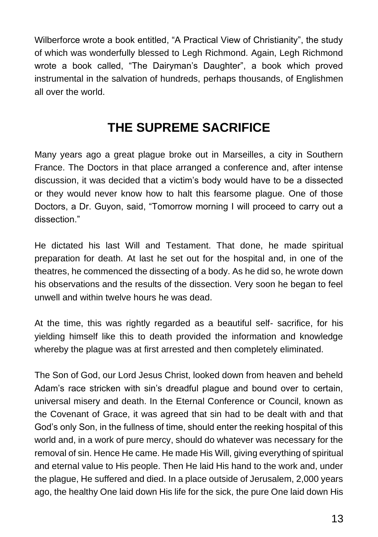Wilberforce wrote a book entitled, "A Practical View of Christianity", the study of which was wonderfully blessed to Legh Richmond. Again, Legh Richmond wrote a book called, "The Dairyman's Daughter", a book which proved instrumental in the salvation of hundreds, perhaps thousands, of Englishmen all over the world.

#### **THE SUPREME SACRIFICE**

Many years ago a great plague broke out in Marseilles, a city in Southern France. The Doctors in that place arranged a conference and, after intense discussion, it was decided that a victim's body would have to be a dissected or they would never know how to halt this fearsome plague. One of those Doctors, a Dr. Guyon, said, "Tomorrow morning I will proceed to carry out a dissection."

He dictated his last Will and Testament. That done, he made spiritual preparation for death. At last he set out for the hospital and, in one of the theatres, he commenced the dissecting of a body. As he did so, he wrote down his observations and the results of the dissection. Very soon he began to feel unwell and within twelve hours he was dead.

At the time, this was rightly regarded as a beautiful self- sacrifice, for his yielding himself like this to death provided the information and knowledge whereby the plague was at first arrested and then completely eliminated.

The Son of God, our Lord Jesus Christ, looked down from heaven and beheld Adam's race stricken with sin's dreadful plague and bound over to certain, universal misery and death. In the Eternal Conference or Council, known as the Covenant of Grace, it was agreed that sin had to be dealt with and that God's only Son, in the fullness of time, should enter the reeking hospital of this world and, in a work of pure mercy, should do whatever was necessary for the removal of sin. Hence He came. He made His Will, giving everything of spiritual and eternal value to His people. Then He laid His hand to the work and, under the plague, He suffered and died. In a place outside of Jerusalem, 2,000 years ago, the healthy One laid down His life for the sick, the pure One laid down His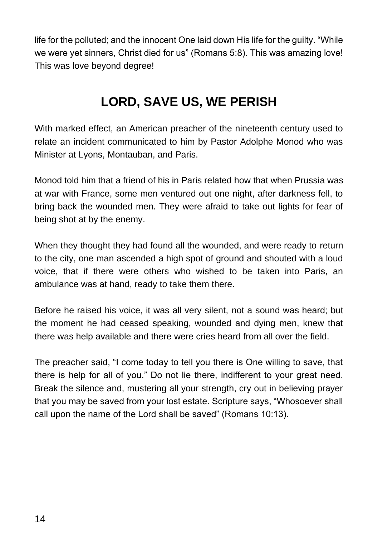life for the polluted; and the innocent One laid down His life for the guilty. "While we were yet sinners, Christ died for us" (Romans 5:8). This was amazing love! This was love beyond degree!

### **LORD, SAVE US, WE PERISH**

With marked effect, an American preacher of the nineteenth century used to relate an incident communicated to him by Pastor Adolphe Monod who was Minister at Lyons, Montauban, and Paris.

Monod told him that a friend of his in Paris related how that when Prussia was at war with France, some men ventured out one night, after darkness fell, to bring back the wounded men. They were afraid to take out lights for fear of being shot at by the enemy.

When they thought they had found all the wounded, and were ready to return to the city, one man ascended a high spot of ground and shouted with a loud voice, that if there were others who wished to be taken into Paris, an ambulance was at hand, ready to take them there.

Before he raised his voice, it was all very silent, not a sound was heard; but the moment he had ceased speaking, wounded and dying men, knew that there was help available and there were cries heard from all over the field.

The preacher said, "I come today to tell you there is One willing to save, that there is help for all of you." Do not lie there, indifferent to your great need. Break the silence and, mustering all your strength, cry out in believing prayer that you may be saved from your lost estate. Scripture says, "Whosoever shall call upon the name of the Lord shall be saved" (Romans 10:13).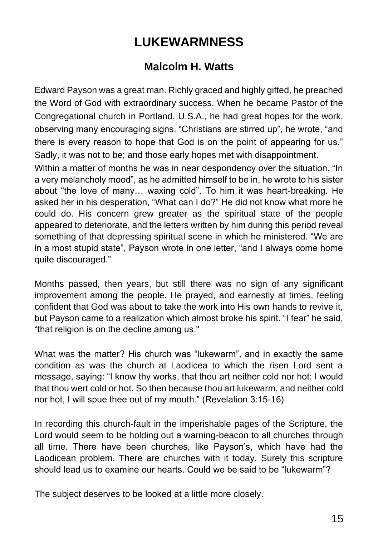# **LUKEWARMNESS**

#### **Malcolm H. Watts**

Edward Payson was a great man. Richly graced and highly gifted, he preached the Word of God with extraordinary success. When he became Pastor of the Congregational church in Portland, U.S.A., he had great hopes for the work, observing many encouraging signs. "Christians are stirred up", he wrote, "and there is every reason to hope that God is on the point of appearing for us." Sadly, it was not to be; and those early hopes met with disappointment.

Within a matter of months he was in near despondency over the situation. "In a very melancholy mood", as he admitted himself to be in, he wrote to his sister about "the love of many… waxing cold". To him it was heart-breaking. He asked her in his desperation, "What can I do?" He did not know what more he could do. His concern grew greater as the spiritual state of the people appeared to deteriorate, and the letters written by him during this period reveal something of that depressing spiritual scene in which he ministered. "We are in a most stupid state", Payson wrote in one letter, "and I always come home quite discouraged."

Months passed, then years, but still there was no sign of any significant improvement among the people. He prayed, and earnestly at times, feeling confident that God was about to take the work into His own hands to revive it, but Payson came to a realization which almost broke his spirit. "I fear" he said, "that religion is on the decline among us."

What was the matter? His church was "lukewarm", and in exactly the same condition as was the church at Laodicea to which the risen Lord sent a message, saying: "I know thy works, that thou art neither cold nor hot: I would that thou wert cold or hot. So then because thou art lukewarm, and neither cold nor hot, I will spue thee out of my mouth." (Revelation 3:15-16)

In recording this church-fault in the imperishable pages of the Scripture, the Lord would seem to be holding out a warning-beacon to all churches through all time. There have been churches, like Payson's, which have had the Laodicean problem. There are churches with it today. Surely this scripture should lead us to examine our hearts. Could we be said to be "lukewarm"?

The subject deserves to be looked at a little more closely.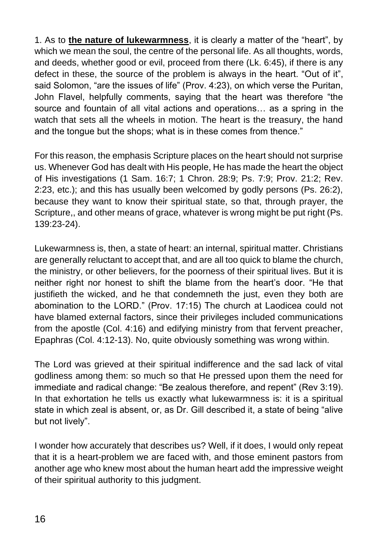1. As to **the nature of lukewarmness**, it is clearly a matter of the "heart", by which we mean the soul, the centre of the personal life. As all thoughts, words, and deeds, whether good or evil, proceed from there (Lk. 6:45), if there is any defect in these, the source of the problem is always in the heart. "Out of it", said Solomon, "are the issues of life" (Prov. 4:23), on which verse the Puritan, John Flavel, helpfully comments, saying that the heart was therefore "the source and fountain of all vital actions and operations… as a spring in the watch that sets all the wheels in motion. The heart is the treasury, the hand and the tongue but the shops; what is in these comes from thence."

For this reason, the emphasis Scripture places on the heart should not surprise us. Whenever God has dealt with His people, He has made the heart the object of His investigations (1 Sam. 16:7; 1 Chron. 28:9; Ps. 7:9; Prov. 21:2; Rev. 2:23, etc.); and this has usually been welcomed by godly persons (Ps. 26:2), because they want to know their spiritual state, so that, through prayer, the Scripture,, and other means of grace, whatever is wrong might be put right (Ps. 139:23-24).

Lukewarmness is, then, a state of heart: an internal, spiritual matter. Christians are generally reluctant to accept that, and are all too quick to blame the church, the ministry, or other believers, for the poorness of their spiritual lives. But it is neither right nor honest to shift the blame from the heart's door. "He that justifieth the wicked, and he that condemneth the just, even they both are abomination to the LORD." (Prov. 17:15) The church at Laodicea could not have blamed external factors, since their privileges included communications from the apostle (Col. 4:16) and edifying ministry from that fervent preacher, Epaphras (Col. 4:12-13). No, quite obviously something was wrong within.

The Lord was grieved at their spiritual indifference and the sad lack of vital godliness among them: so much so that He pressed upon them the need for immediate and radical change: "Be zealous therefore, and repent" (Rev 3:19). In that exhortation he tells us exactly what lukewarmness is: it is a spiritual state in which zeal is absent, or, as Dr. Gill described it, a state of being "alive but not lively".

I wonder how accurately that describes us? Well, if it does, I would only repeat that it is a heart-problem we are faced with, and those eminent pastors from another age who knew most about the human heart add the impressive weight of their spiritual authority to this judgment.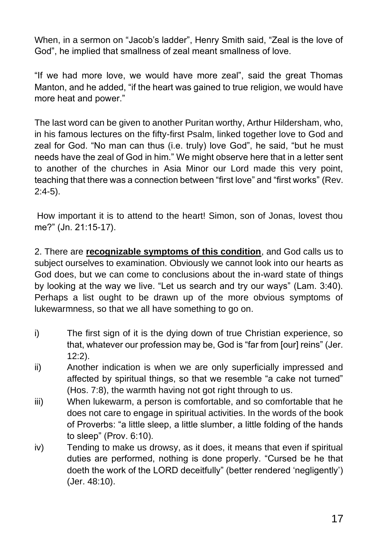When, in a sermon on "Jacob's ladder", Henry Smith said, "Zeal is the love of God", he implied that smallness of zeal meant smallness of love.

"If we had more love, we would have more zeal", said the great Thomas Manton, and he added, "if the heart was gained to true religion, we would have more heat and power."

The last word can be given to another Puritan worthy, Arthur Hildersham, who, in his famous lectures on the fifty-first Psalm, linked together love to God and zeal for God. "No man can thus (i.e. truly) love God", he said, "but he must needs have the zeal of God in him." We might observe here that in a letter sent to another of the churches in Asia Minor our Lord made this very point, teaching that there was a connection between "first love" and "first works" (Rev. 2:4-5).

How important it is to attend to the heart! Simon, son of Jonas, lovest thou me?" (Jn. 21:15-17).

2. There are **recognizable symptoms of this condition**, and God calls us to subject ourselves to examination. Obviously we cannot look into our hearts as God does, but we can come to conclusions about the in-ward state of things by looking at the way we live. "Let us search and try our ways" (Lam. 3:40). Perhaps a list ought to be drawn up of the more obvious symptoms of lukewarmness, so that we all have something to go on.

- i) The first sign of it is the dying down of true Christian experience, so that, whatever our profession may be, God is "far from [our] reins" (Jer. 12:2).
- ii) Another indication is when we are only superficially impressed and affected by spiritual things, so that we resemble "a cake not turned" (Hos. 7:8), the warmth having not got right through to us.
- iii) When lukewarm, a person is comfortable, and so comfortable that he does not care to engage in spiritual activities. In the words of the book of Proverbs: "a little sleep, a little slumber, a little folding of the hands to sleep" (Prov. 6:10).
- iv) Tending to make us drowsy, as it does, it means that even if spiritual duties are performed, nothing is done properly. "Cursed be he that doeth the work of the LORD deceitfully" (better rendered 'negligently') (Jer. 48:10).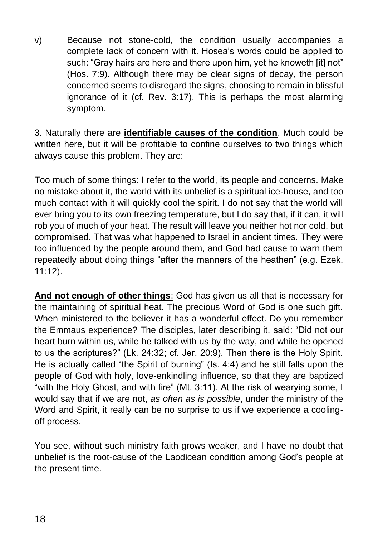v) Because not stone-cold, the condition usually accompanies a complete lack of concern with it. Hosea's words could be applied to such: "Gray hairs are here and there upon him, yet he knoweth [it] not" (Hos. 7:9). Although there may be clear signs of decay, the person concerned seems to disregard the signs, choosing to remain in blissful ignorance of it (cf. Rev. 3:17). This is perhaps the most alarming symptom.

3. Naturally there are **identifiable causes of the condition**. Much could be written here, but it will be profitable to confine ourselves to two things which always cause this problem. They are:

Too much of some things: I refer to the world, its people and concerns. Make no mistake about it, the world with its unbelief is a spiritual ice-house, and too much contact with it will quickly cool the spirit. I do not say that the world will ever bring you to its own freezing temperature, but I do say that, if it can, it will rob you of much of your heat. The result will leave you neither hot nor cold, but compromised. That was what happened to Israel in ancient times. They were too influenced by the people around them, and God had cause to warn them repeatedly about doing things "after the manners of the heathen" (e.g. Ezek. 11:12).

**And not enough of other things**: God has given us all that is necessary for the maintaining of spiritual heat. The precious Word of God is one such gift. When ministered to the believer it has a wonderful effect. Do you remember the Emmaus experience? The disciples, later describing it, said: "Did not our heart burn within us, while he talked with us by the way, and while he opened to us the scriptures?" (Lk. 24:32; cf. Jer. 20:9). Then there is the Holy Spirit. He is actually called "the Spirit of burning" (Is. 4:4) and he still falls upon the people of God with holy, love-enkindling influence, so that they are baptized "with the Holy Ghost, and with fire" (Mt. 3:11). At the risk of wearying some, I would say that if we are not, *as often as is possible*, under the ministry of the Word and Spirit, it really can be no surprise to us if we experience a coolingoff process.

You see, without such ministry faith grows weaker, and I have no doubt that unbelief is the root-cause of the Laodicean condition among God's people at the present time.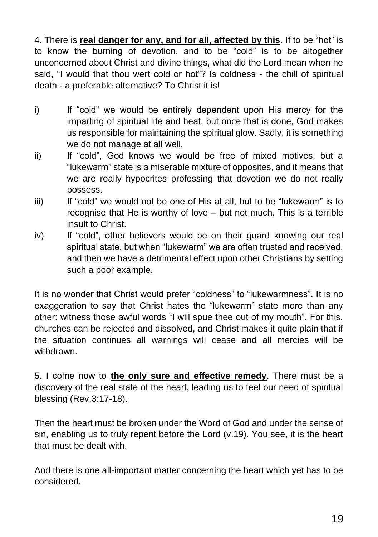4. There is **real danger for any, and for all, affected by this**. If to be "hot" is to know the burning of devotion, and to be "cold" is to be altogether unconcerned about Christ and divine things, what did the Lord mean when he said, "I would that thou wert cold or hot"? Is coldness - the chill of spiritual death - a preferable alternative? To Christ it is!

- i) If "cold" we would be entirely dependent upon His mercy for the imparting of spiritual life and heat, but once that is done, God makes us responsible for maintaining the spiritual glow. Sadly, it is something we do not manage at all well.
- ii) If "cold", God knows we would be free of mixed motives, but a "lukewarm" state is a miserable mixture of opposites, and it means that we are really hypocrites professing that devotion we do not really possess.
- iii) If "cold" we would not be one of His at all, but to be "lukewarm" is to recognise that He is worthy of love – but not much. This is a terrible insult to Christ.
- iv) If "cold", other believers would be on their guard knowing our real spiritual state, but when "lukewarm" we are often trusted and received, and then we have a detrimental effect upon other Christians by setting such a poor example.

It is no wonder that Christ would prefer "coldness" to "lukewarmness". It is no exaggeration to say that Christ hates the "lukewarm" state more than any other: witness those awful words "I will spue thee out of my mouth". For this, churches can be rejected and dissolved, and Christ makes it quite plain that if the situation continues all warnings will cease and all mercies will be withdrawn.

5. I come now to **the only sure and effective remedy**. There must be a discovery of the real state of the heart, leading us to feel our need of spiritual blessing (Rev.3:17-18).

Then the heart must be broken under the Word of God and under the sense of sin, enabling us to truly repent before the Lord (v.19). You see, it is the heart that must be dealt with.

And there is one all-important matter concerning the heart which yet has to be considered.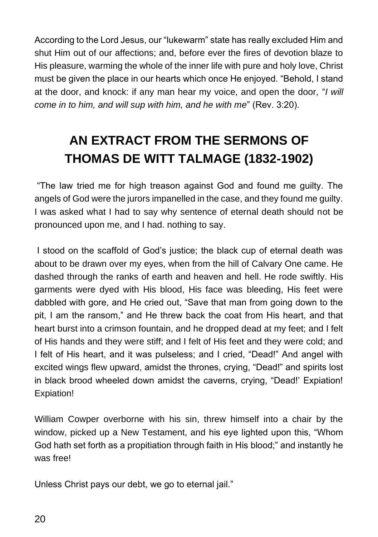According to the Lord Jesus, our "lukewarm" state has really excluded Him and shut Him out of our affections; and, before ever the fires of devotion blaze to His pleasure, warming the whole of the inner life with pure and holy love, Christ must be given the place in our hearts which once He enjoyed. "Behold, I stand at the door, and knock: if any man hear my voice, and open the door, "*I will come in to him, and will sup with him, and he with me*" (Rev. 3:20).

# **AN EXTRACT FROM THE SERMONS OF THOMAS DE WITT TALMAGE (1832-1902)**

"The law tried me for high treason against God and found me guilty. The angels of God were the jurors impanelled in the case, and they found me guilty. I was asked what I had to say why sentence of eternal death should not be pronounced upon me, and I had. nothing to say.

I stood on the scaffold of God's justice; the black cup of eternal death was about to be drawn over my eyes, when from the hill of Calvary One came. He dashed through the ranks of earth and heaven and hell. He rode swiftly. His garments were dyed with His blood, His face was bleeding, His feet were dabbled with gore, and He cried out, "Save that man from going down to the pit, I am the ransom," and He threw back the coat from His heart, and that heart burst into a crimson fountain, and he dropped dead at my feet; and I felt of His hands and they were stiff; and I felt of His feet and they were cold; and I felt of His heart, and it was pulseless; and I cried, "Dead!" And angel with excited wings flew upward, amidst the thrones, crying, "Dead!" and spirits lost in black brood wheeled down amidst the caverns, crying, "Dead!' Expiation! Expiation!

William Cowper overborne with his sin, threw himself into a chair by the window, picked up a New Testament, and his eye lighted upon this, "Whom God hath set forth as a propitiation through faith in His blood;" and instantly he was free!

Unless Christ pays our debt, we go to eternal jail."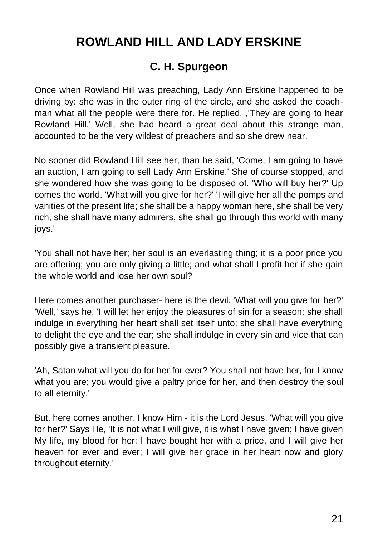# **ROWLAND HILL AND LADY ERSKINE**

#### **C. H. Spurgeon**

Once when Rowland Hill was preaching, Lady Ann Erskine happened to be driving by: she was in the outer ring of the circle, and she asked the coachman what all the people were there for. He replied, ,'They are going to hear Rowland Hill.' Well, she had heard a great deal about this strange man, accounted to be the very wildest of preachers and so she drew near.

No sooner did Rowland Hill see her, than he said, 'Come, I am going to have an auction, I am going to sell Lady Ann Erskine.' She of course stopped, and she wondered how she was going to be disposed of. 'Who will buy her?' Up comes the world. 'What will you give for her?' 'I will give her all the pomps and vanities of the present life; she shall be a happy woman here, she shall be very rich, she shall have many admirers, she shall go through this world with many joys.'

'You shall not have her; her soul is an everlasting thing; it is a poor price you are offering; you are only giving a little; and what shall I profit her if she gain the whole world and lose her own soul?

Here comes another purchaser- here is the devil. 'What will you give for her?' 'Well,' says he, 'I will let her enjoy the pleasures of sin for a season; she shall indulge in everything her heart shall set itself unto; she shall have everything to delight the eye and the ear; she shall indulge in every sin and vice that can possibly give a transient pleasure.'

'Ah, Satan what will you do for her for ever? You shall not have her, for I know what you are; you would give a paltry price for her, and then destroy the soul to all eternity.'

But, here comes another. I know Him - it is the Lord Jesus. 'What will you give for her?' Says He, 'It is not what I will give, it is what I have given; I have given My life, my blood for her; I have bought her with a price, and I will give her heaven for ever and ever; I will give her grace in her heart now and glory throughout eternity.'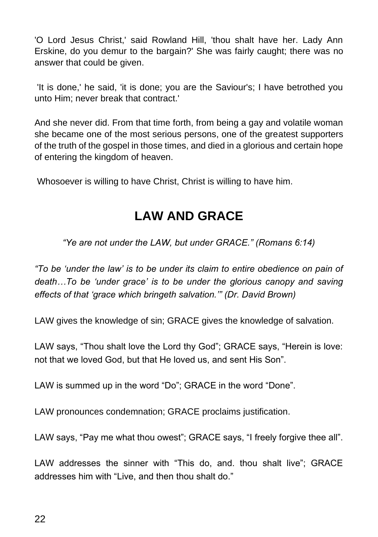'O Lord Jesus Christ,' said Rowland Hill, 'thou shalt have her. Lady Ann Erskine, do you demur to the bargain?' She was fairly caught; there was no answer that could be given.

'It is done,' he said, 'it is done; you are the Saviour's; I have betrothed you unto Him; never break that contract.'

And she never did. From that time forth, from being a gay and volatile woman she became one of the most serious persons, one of the greatest supporters of the truth of the gospel in those times, and died in a glorious and certain hope of entering the kingdom of heaven.

Whosoever is willing to have Christ, Christ is willing to have him.

### **LAW AND GRACE**

*"Ye are not under the LAW, but under GRACE." (Romans 6:14)*

*"To be 'under the law' is to be under its claim to entire obedience on pain of death…To be 'under grace' is to be under the glorious canopy and saving effects of that 'grace which bringeth salvation.'" (Dr. David Brown)*

LAW gives the knowledge of sin; GRACE gives the knowledge of salvation.

LAW says, "Thou shalt love the Lord thy God"; GRACE says, "Herein is love: not that we loved God, but that He loved us, and sent His Son".

LAW is summed up in the word "Do"; GRACE in the word "Done".

LAW pronounces condemnation; GRACE proclaims justification.

LAW says, "Pay me what thou owest"; GRACE says, "I freely forgive thee all".

LAW addresses the sinner with "This do, and. thou shalt live"; GRACE addresses him with "Live, and then thou shalt do."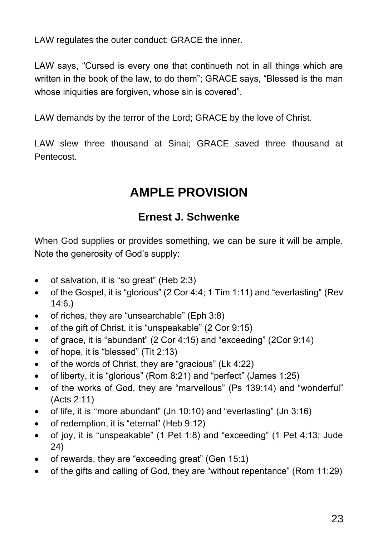LAW regulates the outer conduct; GRACE the inner.

LAW says, "Cursed is every one that continueth not in all things which are written in the book of the law, to do them"; GRACE says, "Blessed is the man whose iniquities are forgiven, whose sin is covered".

LAW demands by the terror of the Lord; GRACE by the love of Christ.

LAW slew three thousand at Sinai; GRACE saved three thousand at **Pentecost** 

### **AMPLE PROVISION**

#### **Ernest J. Schwenke**

When God supplies or provides something, we can be sure it will be ample. Note the generosity of God's supply:

- of salvation, it is "so great" (Heb 2:3)
- of the Gospel, it is "glorious" (2 Cor 4:4; 1 Tim 1:11) and "everlasting" (Rev 14:6.)
- of riches, they are "unsearchable" (Eph 3:8)
- of the gift of Christ, it is "unspeakable" (2 Cor 9:15)
- of grace, it is "abundant" (2 Cor 4:15) and "exceeding" (2Cor 9:14)
- of hope, it is "blessed" (Tit 2:13)
- of the words of Christ, they are "gracious" (Lk 4:22)
- of liberty, it is "glorious" (Rom 8:21) and "perfect" (James 1:25)
- of the works of God, they are "marvellous" (Ps 139:14) and "wonderful" (Acts 2:11)
- of life, it is ''more abundant" (Jn 10:10) and "everlasting" (Jn 3:16)
- of redemption, it is "eternal" (Heb 9:12)
- of joy, it is "unspeakable" (1 Pet 1:8) and "exceeding" (1 Pet 4:13; Jude 24)
- of rewards, they are "exceeding great" (Gen 15:1)
- of the gifts and calling of God, they are "without repentance" (Rom 11:29)